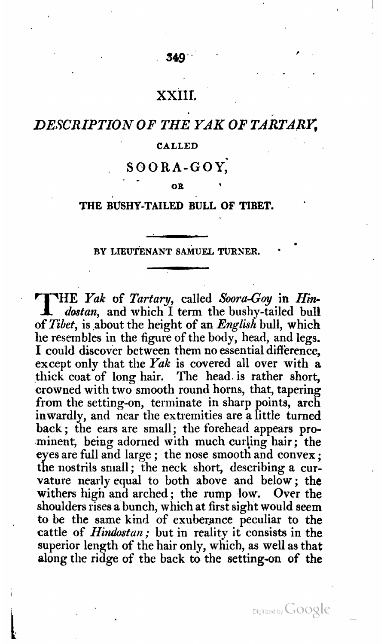#### 349

### XXIII.

# *DE,YCRIPTION* **OF** *THE YAK* **OF** *TARTARC*

#### **CALLED**

## **SOORA-GOY;**

**OR <sup>I</sup>**

#### **THE BUSHY-TAILED BULL OF TIBET.**

#### BY LIEUTENANT SAMUEL TURNER.

T **HE Yak of Tartary,** called *Soora-Goy* in **Hin**dostan, and which I term the bushy-tailed bull of Tibet, is ,about the height **of** an *English* bull, which he resembles in the figure of the body, head, and legs. I could discover between them no essential difference, except only that the Yak is covered all over with  $\mathbf{a}$ thick coat of long hair. The head. is rather short, crowned with two smooth round horns, that, tapering from the setting-on, terminate in sharp points, arch inwardly, and near the extremities are a little turned back ; the ears are small; the forehead appears prominent, being adorned with much curling hair ; the eyes are full and large ; the nose smooth and convex ; the nostrils small ; the neck short, describing a curvature nearlv equal to both above and below; the withers high and arched; the rump low. Over the shoulders rises a bunch, which at first sight would seem to be the same kind of exuberance peculiar to the cattle of *Hindostan*; but in reality it consists in the superior length of the hair only, which, as well **as** that along tlie ridge **of** the back to the setting-on **of the**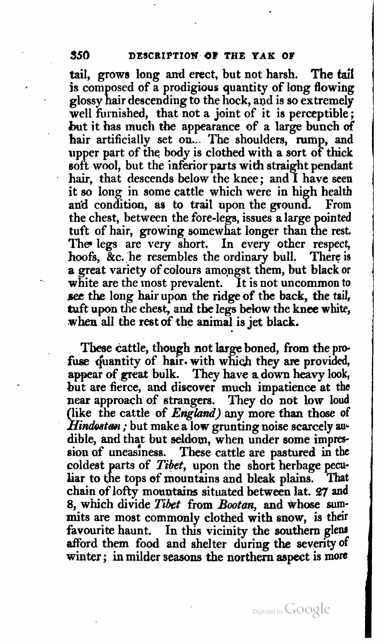tail, grows long and erect, but not harsh. The tail is composed of a prodigious quantity of long flowing glossy hair descending to the hock, and is so extremely well furnished, that not a joint of it is perceptible; but it has much the appearance of a large bunch of hair artificially set on... The shoulders, rump, and upper part of the body is clothed with a sort of thick soft wool, but the inferior **parts** with straight pendant hair, that descends below the knee; and I have seen it so long in some cattle which were in high health and condition, as to trail upon the ground. From the chest, between the fore-legs, issues a large pointed tuft of hair, growing somewhat longer than the rest. The legs are very short. In every other respect, hoofs, &c. he resembles the ordinary bull. There is a great variety of colours amongst them, but black or white are the most prevalent. It is not uncommon to **sec** the long hair upon the ridge of the back, the tail, tuft upon the chest, and the legs below the knee white, when all the rest of the animal is jet black.

These cattle, though not large boned, from the profuse quantity of hair. with which they are provided, appear **of great** bulk. They have a down heavy look, but are fierce, and discover **much** impatience at the near approach of strangers. They do not **Low loud**  his approach of strangers. They do not now four (like the cattle of *England*) any more than those of *Hindostan*; but make a low grunting noise scarcely audible, and that but seldom, when under some impression af uneasiness. **These** cattle are pastured in the coldest parts of *Tibet*, upon the short herbage pecu-<br>liar to the tops of mountains and bleak plains. That liar to the tops of mountains and bleak plains. chain of lofty mountains situated between lat. 27 and 8, which divide Tibet from Bootan, and whose **sum**mits are most commonly clothed with snow, is their<br>favourite haunt. In this vicinity the southern glens In this vicinity the southern glens afford them food and shelter during the severity of winter ; **in** milder seasons the northern aspect is **mom**